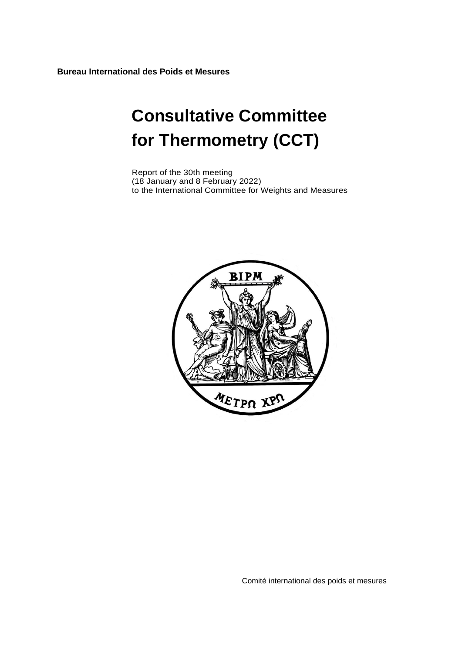**Bureau International des Poids et Mesures**

# **Consultative Committee for Thermometry (CCT)**

Report of the 30th meeting (18 January and 8 February 2022) to the International Committee for Weights and Measures



Comité international des poids et mesures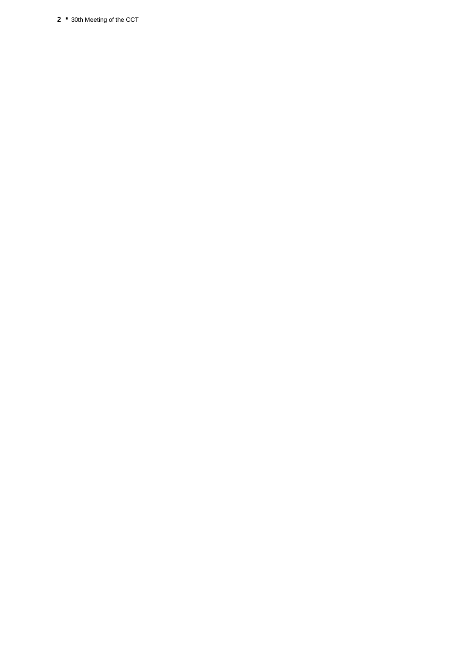**·** 30th Meeting of the CCT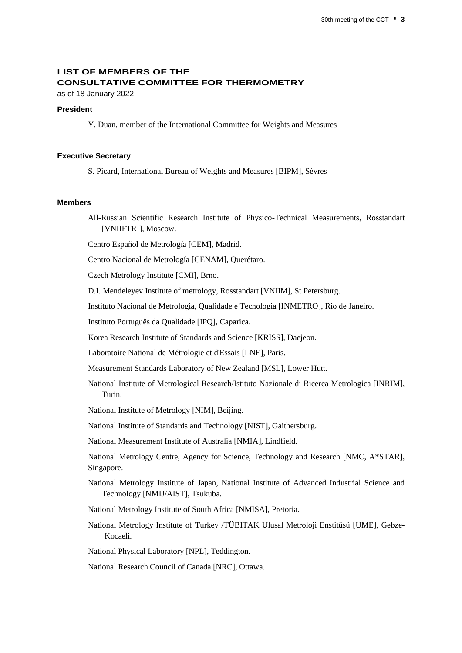# **LIST OF MEMBERS OF THE CONSULTATIVE COMMITTEE FOR THERMOMETRY**

as of 18 January 2022

#### **President**

Y. Duan, member of the International Committee for Weights and Measures

#### **Executive Secretary**

S. Picard, International Bureau of Weights and Measures [BIPM], Sèvres

#### **Members**

All-Russian Scientific Research Institute of Physico-Technical Measurements, Rosstandart [VNIIFTRI], Moscow.

Centro Español de Metrología [CEM], Madrid.

Centro Nacional de Metrología [CENAM], Querétaro.

Czech Metrology Institute [CMI], Brno.

D.I. Mendeleyev Institute of metrology, Rosstandart [VNIIM], St Petersburg.

Instituto Nacional de Metrologia, Qualidade e Tecnologia [INMETRO], Rio de Janeiro.

Instituto Português da Qualidade [IPQ], Caparica.

Korea Research Institute of Standards and Science [KRISS], Daejeon.

Laboratoire National de Métrologie et d'Essais [LNE], Paris.

Measurement Standards Laboratory of New Zealand [MSL], Lower Hutt.

National Institute of Metrological Research/Istituto Nazionale di Ricerca Metrologica [INRIM], Turin.

National Institute of Metrology [NIM], Beijing.

National Institute of Standards and Technology [NIST], Gaithersburg.

National Measurement Institute of Australia [NMIA], Lindfield.

National Metrology Centre, Agency for Science, Technology and Research [NMC, A\*STAR], Singapore.

National Metrology Institute of Japan, National Institute of Advanced Industrial Science and Technology [NMIJ/AIST], Tsukuba.

National Metrology Institute of South Africa [NMISA], Pretoria.

National Metrology Institute of Turkey /TÜBITAK Ulusal Metroloji Enstitüsü [UME], Gebze-Kocaeli.

National Physical Laboratory [NPL], Teddington.

National Research Council of Canada [NRC], Ottawa.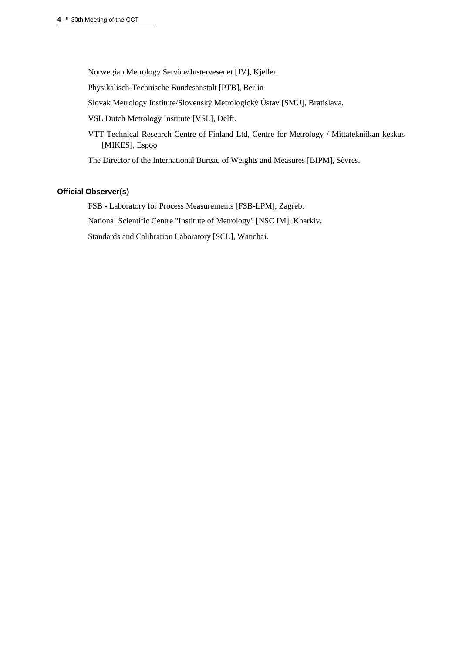Norwegian Metrology Service/Justervesenet [JV], Kjeller.

Physikalisch-Technische Bundesanstalt [PTB], Berlin

Slovak Metrology Institute/Slovenský Metrologický Ústav [SMU], Bratislava.

VSL Dutch Metrology Institute [VSL], Delft.

VTT Technical Research Centre of Finland Ltd, Centre for Metrology / Mittatekniikan keskus [MIKES], Espoo

The Director of the International Bureau of Weights and Measures [BIPM], Sèvres.

#### **Official Observer(s)**

FSB - Laboratory for Process Measurements [FSB-LPM], Zagreb.

National Scientific Centre "Institute of Metrology" [NSC IM], Kharkiv.

Standards and Calibration Laboratory [SCL], Wanchai.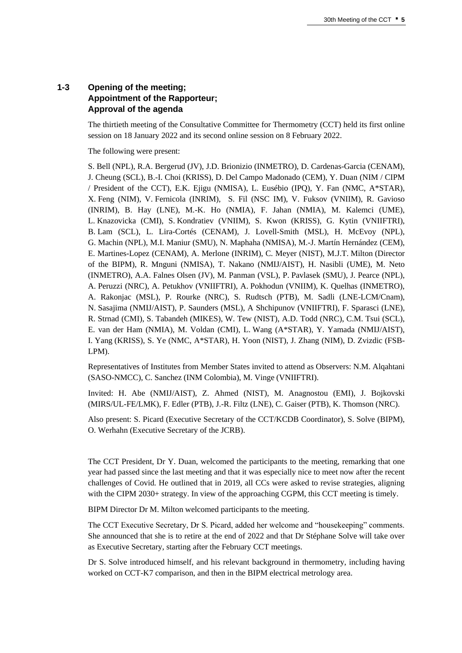## **1-3 Opening of the meeting; Appointment of the Rapporteur; Approval of the agenda**

The thirtieth meeting of the Consultative Committee for Thermometry (CCT) held its first online session on 18 January 2022 and its second online session on 8 February 2022.

The following were present:

S. Bell (NPL), R.A. Bergerud (JV), J.D. Brionizio (INMETRO), D. Cardenas-Garcia (CENAM), J. Cheung (SCL), B.-I. Choi (KRISS), D. Del Campo Madonado (CEM), Y. Duan (NIM / CIPM / President of the CCT), E.K. Ejigu (NMISA), L. Eusébio (IPQ), Y. Fan (NMC, A\*STAR), X. Feng (NIM), V. Fernicola (INRIM), S. Fil (NSC IM), V. Fuksov (VNIIM), R. Gavioso (INRIM), B. Hay (LNE), M.-K. Ho (NMIA), F. Jahan (NMIA), M. Kalemci (UME), L. Knazovicka (CMI), S. Kondratiev (VNIIM), S. Kwon (KRISS), G. Kytin (VNIIFTRI), B. Lam (SCL), L. Lira-Cortés (CENAM), J. Lovell-Smith (MSL), H. McEvoy (NPL), G. Machin (NPL), M.I. Maniur (SMU), N. Maphaha (NMISA), M.-J. Martín Hernández (CEM), E. Martines-Lopez (CENAM), A. Merlone (INRIM), C. Meyer (NIST), M.J.T. Milton (Director of the BIPM), R. Mnguni (NMISA), T. Nakano (NMIJ/AIST), H. Nasibli (UME), M. Neto (INMETRO), A.A. Falnes Olsen (JV), M. Panman (VSL), P. Pavlasek (SMU), J. Pearce (NPL), A. Peruzzi (NRC), A. Petukhov (VNIIFTRI), A. Pokhodun (VNIIM), K. Quelhas (INMETRO), A. Rakonjac (MSL), P. Rourke (NRC), S. Rudtsch (PTB), M. Sadli (LNE-LCM/Cnam), N. Sasajima (NMIJ/AIST), P. Saunders (MSL), A Shchipunov (VNIIFTRI), F. Sparasci (LNE), R. Strnad (CMI), S. Tabandeh (MIKES), W. Tew (NIST), A.D. Todd (NRC), C.M. Tsui (SCL), E. van der Ham (NMIA), M. Voldan (CMI), L. Wang (A\*STAR), Y. Yamada (NMIJ/AIST), I. Yang (KRISS), S. Ye (NMC, A\*STAR), H. Yoon (NIST), J. Zhang (NIM), D. Zvizdic (FSB-LPM).

Representatives of Institutes from Member States invited to attend as Observers: N.M. Alqahtani (SASO-NMCC), C. Sanchez (INM Colombia), M. Vinge (VNIIFTRI).

Invited: H. Abe (NMIJ/AIST), Z. Ahmed (NIST), M. Anagnostou (EMI), J. Bojkovski (MIRS/UL-FE/LMK), F. Edler (PTB), J.-R. Filtz (LNE), C. Gaiser (PTB), K. Thomson (NRC).

Also present: S. Picard (Executive Secretary of the CCT/KCDB Coordinator), S. Solve (BIPM), O. Werhahn (Executive Secretary of the JCRB).

The CCT President, Dr Y. Duan, welcomed the participants to the meeting, remarking that one year had passed since the last meeting and that it was especially nice to meet now after the recent challenges of Covid. He outlined that in 2019, all CCs were asked to revise strategies, aligning with the CIPM 2030+ strategy. In view of the approaching CGPM, this CCT meeting is timely.

BIPM Director Dr M. Milton welcomed participants to the meeting.

The CCT Executive Secretary, Dr S. Picard, added her welcome and "housekeeping" comments. She announced that she is to retire at the end of 2022 and that Dr Stéphane Solve will take over as Executive Secretary, starting after the February CCT meetings.

Dr S. Solve introduced himself, and his relevant background in thermometry, including having worked on CCT-K7 comparison, and then in the BIPM electrical metrology area.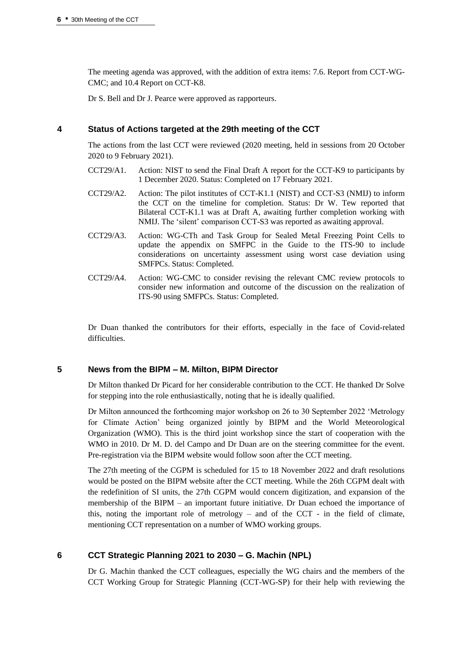The meeting agenda was approved, with the addition of extra items: 7.6. Report from CCT-WG-CMC; and 10.4 Report on CCT-K8.

Dr S. Bell and Dr J. Pearce were approved as rapporteurs.

#### **4 Status of Actions targeted at the 29th meeting of the CCT**

The actions from the last CCT were reviewed (2020 meeting, held in sessions from 20 October 2020 to 9 February 2021).

- CCT29/A1. Action: NIST to send the Final Draft A report for the CCT-K9 to participants by 1 December 2020. Status: Completed on 17 February 2021.
- CCT29/A2. Action: The pilot institutes of CCT-K1.1 (NIST) and CCT-S3 (NMIJ) to inform the CCT on the timeline for completion. Status: Dr W. Tew reported that Bilateral CCT-K1.1 was at Draft A, awaiting further completion working with NMIJ. The 'silent' comparison CCT-S3 was reported as awaiting approval.
- CCT29/A3. Action: WG-CTh and Task Group for Sealed Metal Freezing Point Cells to update the appendix on SMFPC in the Guide to the ITS-90 to include considerations on uncertainty assessment using worst case deviation using SMFPCs. Status: Completed.
- CCT29/A4. Action: WG-CMC to consider revising the relevant CMC review protocols to consider new information and outcome of the discussion on the realization of ITS-90 using SMFPCs. Status: Completed.

Dr Duan thanked the contributors for their efforts, especially in the face of Covid-related difficulties.

## **5 News from the BIPM – M. Milton, BIPM Director**

Dr Milton thanked Dr Picard for her considerable contribution to the CCT. He thanked Dr Solve for stepping into the role enthusiastically, noting that he is ideally qualified.

Dr Milton announced the forthcoming major workshop on 26 to 30 September 2022 'Metrology for Climate Action' being organized jointly by BIPM and the World Meteorological Organization (WMO). This is the third joint workshop since the start of cooperation with the WMO in 2010. Dr M. D. del Campo and Dr Duan are on the steering committee for the event. Pre-registration via the BIPM website would follow soon after the CCT meeting.

The 27th meeting of the CGPM is scheduled for 15 to 18 November 2022 and draft resolutions would be posted on the BIPM website after the CCT meeting. While the 26th CGPM dealt with the redefinition of SI units, the 27th CGPM would concern digitization, and expansion of the membership of the BIPM – an important future initiative. Dr Duan echoed the importance of this, noting the important role of metrology – and of the CCT - in the field of climate, mentioning CCT representation on a number of WMO working groups.

## **6 CCT Strategic Planning 2021 to 2030 – G. Machin (NPL)**

Dr G. Machin thanked the CCT colleagues, especially the WG chairs and the members of the CCT Working Group for Strategic Planning (CCT-WG-SP) for their help with reviewing the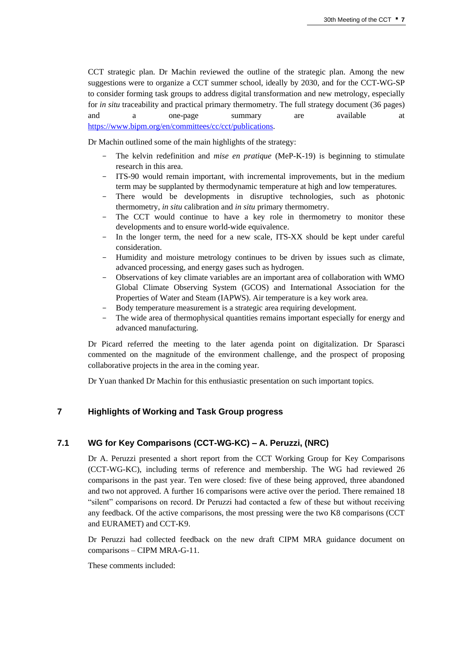CCT strategic plan. Dr Machin reviewed the outline of the strategic plan. Among the new suggestions were to organize a CCT summer school, ideally by 2030, and for the CCT-WG-SP to consider forming task groups to address digital transformation and new metrology, especially for *in situ* traceability and practical primary thermometry. The full strategy document (36 pages) and a one-page summary are available at [https://www.bipm.org/en/committees/cc/cct/publications.](https://www.bipm.org/en/committees/cc/cct/publications)

Dr Machin outlined some of the main highlights of the strategy:

- The kelvin redefinition and *mise en pratique* (MeP-K-19) is beginning to stimulate research in this area.
- ITS-90 would remain important, with incremental improvements, but in the medium term may be supplanted by thermodynamic temperature at high and low temperatures.
- There would be developments in disruptive technologies, such as photonic thermometry, *in situ* calibration and *in situ* primary thermometry.
- The CCT would continue to have a key role in thermometry to monitor these developments and to ensure world-wide equivalence.
- In the longer term, the need for a new scale, ITS-XX should be kept under careful consideration.
- Humidity and moisture metrology continues to be driven by issues such as climate, advanced processing, and energy gases such as hydrogen.
- Observations of key climate variables are an important area of collaboration with WMO Global Climate Observing System (GCOS) and International Association for the Properties of Water and Steam (IAPWS). Air temperature is a key work area.
- Body temperature measurement is a strategic area requiring development.
- The wide area of thermophysical quantities remains important especially for energy and advanced manufacturing.

Dr Picard referred the meeting to the later agenda point on digitalization. Dr Sparasci commented on the magnitude of the environment challenge, and the prospect of proposing collaborative projects in the area in the coming year.

Dr Yuan thanked Dr Machin for this enthusiastic presentation on such important topics.

# **7 Highlights of Working and Task Group progress**

#### **7.1 WG for Key Comparisons (CCT-WG-KC) – A. Peruzzi, (NRC)**

Dr A. Peruzzi presented a short report from the CCT Working Group for Key Comparisons (CCT-WG-KC), including terms of reference and membership. The WG had reviewed 26 comparisons in the past year. Ten were closed: five of these being approved, three abandoned and two not approved. A further 16 comparisons were active over the period. There remained 18 "silent" comparisons on record. Dr Peruzzi had contacted a few of these but without receiving any feedback. Of the active comparisons, the most pressing were the two K8 comparisons (CCT and EURAMET) and CCT-K9.

Dr Peruzzi had collected feedback on the new draft CIPM MRA guidance document on comparisons – CIPM MRA-G-11.

These comments included: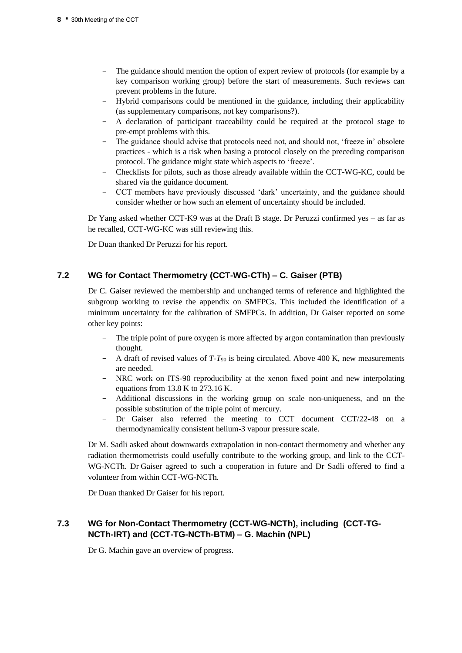- The guidance should mention the option of expert review of protocols (for example by a key comparison working group) before the start of measurements. Such reviews can prevent problems in the future.
- Hybrid comparisons could be mentioned in the guidance, including their applicability (as supplementary comparisons, not key comparisons?).
- A declaration of participant traceability could be required at the protocol stage to pre-empt problems with this.
- The guidance should advise that protocols need not, and should not, 'freeze in' obsolete practices - which is a risk when basing a protocol closely on the preceding comparison protocol. The guidance might state which aspects to 'freeze'.
- Checklists for pilots, such as those already available within the CCT-WG-KC, could be shared via the guidance document.
- CCT members have previously discussed 'dark' uncertainty, and the guidance should consider whether or how such an element of uncertainty should be included.

Dr Yang asked whether CCT-K9 was at the Draft B stage. Dr Peruzzi confirmed yes – as far as he recalled, CCT-WG-KC was still reviewing this.

Dr Duan thanked Dr Peruzzi for his report.

# **7.2 WG for Contact Thermometry (CCT-WG-CTh) – C. Gaiser (PTB)**

Dr C. Gaiser reviewed the membership and unchanged terms of reference and highlighted the subgroup working to revise the appendix on SMFPCs. This included the identification of a minimum uncertainty for the calibration of SMFPCs. In addition, Dr Gaiser reported on some other key points:

- The triple point of pure oxygen is more affected by argon contamination than previously thought.
- A draft of revised values of *T*-*T*<sub>90</sub> is being circulated. Above 400 K, new measurements are needed.
- NRC work on ITS-90 reproducibility at the xenon fixed point and new interpolating equations from 13.8 K to 273.16 K.
- Additional discussions in the working group on scale non-uniqueness, and on the possible substitution of the triple point of mercury.
- Dr Gaiser also referred the meeting to CCT document CCT/22-48 on a thermodynamically consistent helium-3 vapour pressure scale.

Dr M. Sadli asked about downwards extrapolation in non-contact thermometry and whether any radiation thermometrists could usefully contribute to the working group, and link to the CCT-WG-NCTh. Dr Gaiser agreed to such a cooperation in future and Dr Sadli offered to find a volunteer from within CCT-WG-NCTh.

Dr Duan thanked Dr Gaiser for his report.

# **7.3 WG for Non-Contact Thermometry (CCT-WG-NCTh), including (CCT-TG-NCTh-IRT) and (CCT-TG-NCTh-BTM) – G. Machin (NPL)**

Dr G. Machin gave an overview of progress.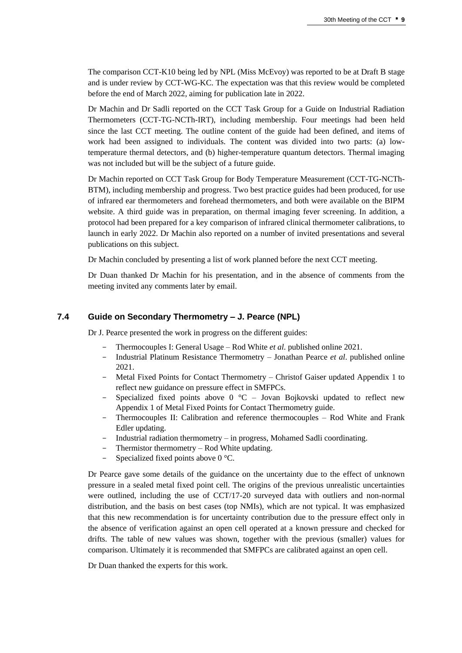The comparison CCT-K10 being led by NPL (Miss McEvoy) was reported to be at Draft B stage and is under review by CCT-WG-KC. The expectation was that this review would be completed before the end of March 2022, aiming for publication late in 2022.

Dr Machin and Dr Sadli reported on the CCT Task Group for a Guide on Industrial Radiation Thermometers (CCT-TG-NCTh-IRT), including membership. Four meetings had been held since the last CCT meeting. The outline content of the guide had been defined, and items of work had been assigned to individuals. The content was divided into two parts: (a) lowtemperature thermal detectors, and (b) higher-temperature quantum detectors. Thermal imaging was not included but will be the subject of a future guide.

Dr Machin reported on CCT Task Group for Body Temperature Measurement (CCT-TG-NCTh-BTM), including membership and progress. Two best practice guides had been produced, for use of infrared ear thermometers and forehead thermometers, and both were available on the BIPM website. A third guide was in preparation, on thermal imaging fever screening. In addition, a protocol had been prepared for a key comparison of infrared clinical thermometer calibrations, to launch in early 2022. Dr Machin also reported on a number of invited presentations and several publications on this subject.

Dr Machin concluded by presenting a list of work planned before the next CCT meeting.

Dr Duan thanked Dr Machin for his presentation, and in the absence of comments from the meeting invited any comments later by email.

#### **7.4 Guide on Secondary Thermometry – J. Pearce (NPL)**

Dr J. Pearce presented the work in progress on the different guides:

- Thermocouples I: General Usage Rod White *et al*. published online 2021.
- Industrial Platinum Resistance Thermometry Jonathan Pearce *et al*. published online 2021.
- Metal Fixed Points for Contact Thermometry Christof Gaiser updated Appendix 1 to reflect new guidance on pressure effect in SMFPCs.
- Specialized fixed points above  $0 \degree C$  Jovan Bojkovski updated to reflect new Appendix 1 of Metal Fixed Points for Contact Thermometry guide.
- Thermocouples II: Calibration and reference thermocouples Rod White and Frank Edler updating.
- Industrial radiation thermometry in progress, Mohamed Sadli coordinating.
- Thermistor thermometry  $-$  Rod White updating.
- Specialized fixed points above  $0^{\circ}$ C.

Dr Pearce gave some details of the guidance on the uncertainty due to the effect of unknown pressure in a sealed metal fixed point cell. The origins of the previous unrealistic uncertainties were outlined, including the use of CCT/17-20 surveyed data with outliers and non-normal distribution, and the basis on best cases (top NMIs), which are not typical. It was emphasized that this new recommendation is for uncertainty contribution due to the pressure effect only in the absence of verification against an open cell operated at a known pressure and checked for drifts. The table of new values was shown, together with the previous (smaller) values for comparison. Ultimately it is recommended that SMFPCs are calibrated against an open cell.

Dr Duan thanked the experts for this work.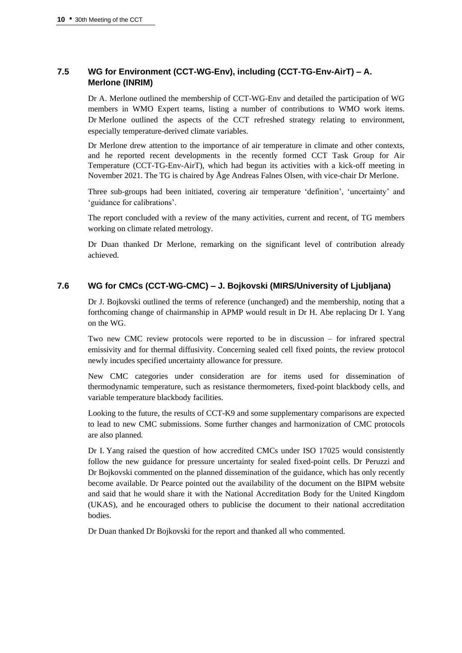# **7.5 WG for Environment (CCT-WG-Env), including (CCT-TG-Env-AirT) – A. Merlone (INRIM)**

Dr A. Merlone outlined the membership of CCT-WG-Env and detailed the participation of WG members in WMO Expert teams, listing a number of contributions to WMO work items. Dr Merlone outlined the aspects of the CCT refreshed strategy relating to environment, especially temperature-derived climate variables.

Dr Merlone drew attention to the importance of air temperature in climate and other contexts, and he reported recent developments in the recently formed CCT Task Group for Air Temperature (CCT-TG-Env-AirT), which had begun its activities with a kick-off meeting in November 2021. The TG is chaired by Åge Andreas Falnes Olsen, with vice-chair Dr Merlone.

Three sub-groups had been initiated, covering air temperature 'definition', 'uncertainty' and 'guidance for calibrations'.

The report concluded with a review of the many activities, current and recent, of TG members working on climate related metrology.

Dr Duan thanked Dr Merlone, remarking on the significant level of contribution already achieved.

## **7.6 WG for CMCs (CCT-WG-CMC) – J. Bojkovski (MIRS/University of Ljubljana)**

Dr J. Bojkovski outlined the terms of reference (unchanged) and the membership, noting that a forthcoming change of chairmanship in APMP would result in Dr H. Abe replacing Dr I. Yang on the WG.

Two new CMC review protocols were reported to be in discussion – for infrared spectral emissivity and for thermal diffusivity. Concerning sealed cell fixed points, the review protocol newly incudes specified uncertainty allowance for pressure.

New CMC categories under consideration are for items used for dissemination of thermodynamic temperature, such as resistance thermometers, fixed-point blackbody cells, and variable temperature blackbody facilities.

Looking to the future, the results of CCT-K9 and some supplementary comparisons are expected to lead to new CMC submissions. Some further changes and harmonization of CMC protocols are also planned.

Dr I. Yang raised the question of how accredited CMCs under ISO 17025 would consistently follow the new guidance for pressure uncertainty for sealed fixed-point cells. Dr Peruzzi and Dr Bojkovski commented on the planned dissemination of the guidance, which has only recently become available. Dr Pearce pointed out the availability of the document on the BIPM website and said that he would share it with the National Accreditation Body for the United Kingdom (UKAS), and he encouraged others to publicise the document to their national accreditation bodies.

Dr Duan thanked Dr Bojkovski for the report and thanked all who commented.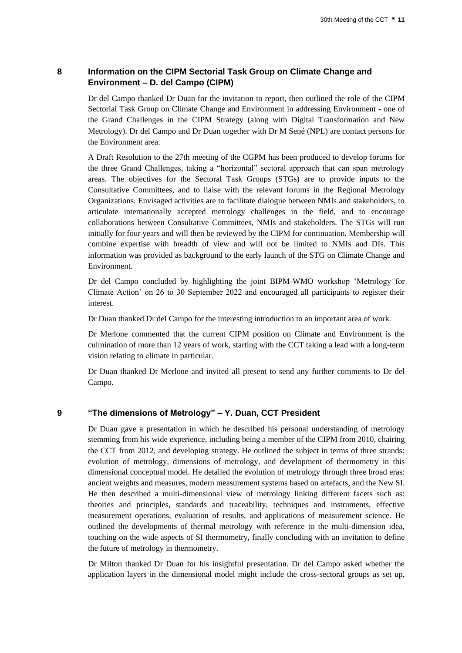# **8 Information on the CIPM Sectorial Task Group on Climate Change and Environment – D. del Campo (CIPM)**

Dr del Campo thanked Dr Duan for the invitation to report, then outlined the role of the CIPM Sectorial Task Group on Climate Change and Environment in addressing Environment - one of the Grand Challenges in the CIPM Strategy (along with Digital Transformation and New Metrology). Dr del Campo and Dr Duan together with Dr M Sené (NPL) are contact persons for the Environment area.

A Draft Resolution to the 27th meeting of the CGPM has been produced to develop forums for the three Grand Challenges, taking a "horizontal" sectoral approach that can span metrology areas. The objectives for the Sectoral Task Groups (STGs) are to provide inputs to the Consultative Committees, and to liaise with the relevant forums in the Regional Metrology Organizations. Envisaged activities are to facilitate dialogue between NMIs and stakeholders, to articulate internationally accepted metrology challenges in the field, and to encourage collaborations between Consultative Committees, NMIs and stakeholders. The STGs will run initially for four years and will then be reviewed by the CIPM for continuation. Membership will combine expertise with breadth of view and will not be limited to NMIs and DIs. This information was provided as background to the early launch of the STG on Climate Change and Environment.

Dr del Campo concluded by highlighting the joint BIPM-WMO workshop 'Metrology for Climate Action' on 26 to 30 September 2022 and encouraged all participants to register their interest.

Dr Duan thanked Dr del Campo for the interesting introduction to an important area of work.

Dr Merlone commented that the current CIPM position on Climate and Environment is the culmination of more than 12 years of work, starting with the CCT taking a lead with a long-term vision relating to climate in particular.

Dr Duan thanked Dr Merlone and invited all present to send any further comments to Dr del Campo.

## **9 "The dimensions of Metrology" – Y. Duan, CCT President**

Dr Duan gave a presentation in which he described his personal understanding of metrology stemming from his wide experience, including being a member of the CIPM from 2010, chairing the CCT from 2012, and developing strategy. He outlined the subject in terms of three strands: evolution of metrology, dimensions of metrology, and development of thermometry in this dimensional conceptual model. He detailed the evolution of metrology through three broad eras: ancient weights and measures, modern measurement systems based on artefacts, and the New SI. He then described a multi-dimensional view of metrology linking different facets such as: theories and principles, standards and traceability, techniques and instruments, effective measurement operations, evaluation of results, and applications of measurement science. He outlined the developments of thermal metrology with reference to the multi-dimension idea, touching on the wide aspects of SI thermometry, finally concluding with an invitation to define the future of metrology in thermometry.

Dr Milton thanked Dr Duan for his insightful presentation. Dr del Campo asked whether the application layers in the dimensional model might include the cross-sectoral groups as set up,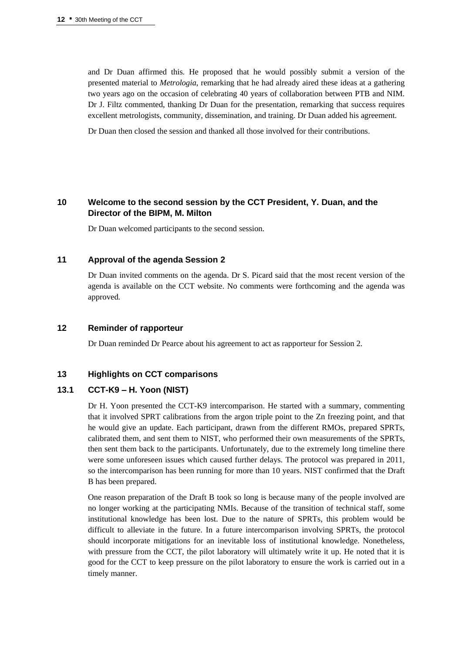and Dr Duan affirmed this. He proposed that he would possibly submit a version of the presented material to *Metrologia*, remarking that he had already aired these ideas at a gathering two years ago on the occasion of celebrating 40 years of collaboration between PTB and NIM. Dr J. Filtz commented, thanking Dr Duan for the presentation, remarking that success requires excellent metrologists, community, dissemination, and training. Dr Duan added his agreement.

Dr Duan then closed the session and thanked all those involved for their contributions.

# **10 Welcome to the second session by the CCT President, Y. Duan, and the Director of the BIPM, M. Milton**

Dr Duan welcomed participants to the second session.

## **11 Approval of the agenda Session 2**

Dr Duan invited comments on the agenda. Dr S. Picard said that the most recent version of the agenda is available on the CCT website. No comments were forthcoming and the agenda was approved.

## **12 Reminder of rapporteur**

Dr Duan reminded Dr Pearce about his agreement to act as rapporteur for Session 2.

## **13 Highlights on CCT comparisons**

## **13.1 CCT-K9 – H. Yoon (NIST)**

Dr H. Yoon presented the CCT-K9 intercomparison. He started with a summary, commenting that it involved SPRT calibrations from the argon triple point to the Zn freezing point, and that he would give an update. Each participant, drawn from the different RMOs, prepared SPRTs, calibrated them, and sent them to NIST, who performed their own measurements of the SPRTs, then sent them back to the participants. Unfortunately, due to the extremely long timeline there were some unforeseen issues which caused further delays. The protocol was prepared in 2011, so the intercomparison has been running for more than 10 years. NIST confirmed that the Draft B has been prepared.

One reason preparation of the Draft B took so long is because many of the people involved are no longer working at the participating NMIs. Because of the transition of technical staff, some institutional knowledge has been lost. Due to the nature of SPRTs, this problem would be difficult to alleviate in the future. In a future intercomparison involving SPRTs, the protocol should incorporate mitigations for an inevitable loss of institutional knowledge. Nonetheless, with pressure from the CCT, the pilot laboratory will ultimately write it up. He noted that it is good for the CCT to keep pressure on the pilot laboratory to ensure the work is carried out in a timely manner.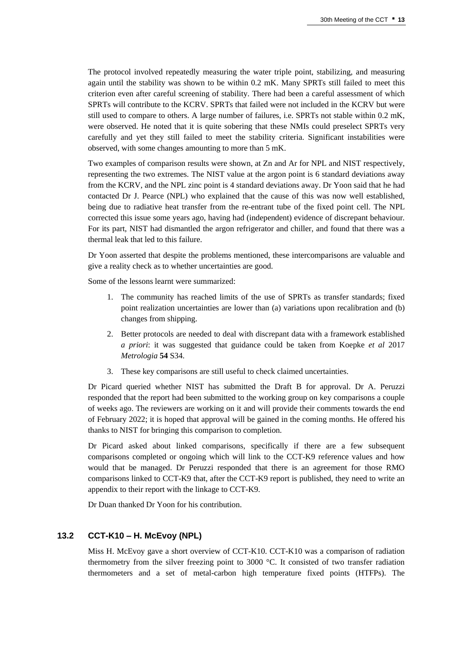The protocol involved repeatedly measuring the water triple point, stabilizing, and measuring again until the stability was shown to be within 0.2 mK. Many SPRTs still failed to meet this criterion even after careful screening of stability. There had been a careful assessment of which SPRTs will contribute to the KCRV. SPRTs that failed were not included in the KCRV but were still used to compare to others. A large number of failures, i.e. SPRTs not stable within 0.2 mK, were observed. He noted that it is quite sobering that these NMIs could preselect SPRTs very carefully and yet they still failed to meet the stability criteria. Significant instabilities were observed, with some changes amounting to more than 5 mK.

Two examples of comparison results were shown, at Zn and Ar for NPL and NIST respectively, representing the two extremes. The NIST value at the argon point is 6 standard deviations away from the KCRV, and the NPL zinc point is 4 standard deviations away. Dr Yoon said that he had contacted Dr J. Pearce (NPL) who explained that the cause of this was now well established, being due to radiative heat transfer from the re-entrant tube of the fixed point cell. The NPL corrected this issue some years ago, having had (independent) evidence of discrepant behaviour. For its part, NIST had dismantled the argon refrigerator and chiller, and found that there was a thermal leak that led to this failure.

Dr Yoon asserted that despite the problems mentioned, these intercomparisons are valuable and give a reality check as to whether uncertainties are good.

Some of the lessons learnt were summarized:

- 1. The community has reached limits of the use of SPRTs as transfer standards; fixed point realization uncertainties are lower than (a) variations upon recalibration and (b) changes from shipping.
- 2. Better protocols are needed to deal with discrepant data with a framework established *a priori*: it was suggested that guidance could be taken from Koepke *et al* 2017 *Metrologia* **54** S34.
- 3. These key comparisons are still useful to check claimed uncertainties.

Dr Picard queried whether NIST has submitted the Draft B for approval. Dr A. Peruzzi responded that the report had been submitted to the working group on key comparisons a couple of weeks ago. The reviewers are working on it and will provide their comments towards the end of February 2022; it is hoped that approval will be gained in the coming months. He offered his thanks to NIST for bringing this comparison to completion.

Dr Picard asked about linked comparisons, specifically if there are a few subsequent comparisons completed or ongoing which will link to the CCT-K9 reference values and how would that be managed. Dr Peruzzi responded that there is an agreement for those RMO comparisons linked to CCT-K9 that, after the CCT-K9 report is published, they need to write an appendix to their report with the linkage to CCT-K9.

Dr Duan thanked Dr Yoon for his contribution.

## **13.2 CCT-K10 – H. McEvoy (NPL)**

Miss H. McEvoy gave a short overview of CCT-K10. CCT-K10 was a comparison of radiation thermometry from the silver freezing point to 3000 °C. It consisted of two transfer radiation thermometers and a set of metal-carbon high temperature fixed points (HTFPs). The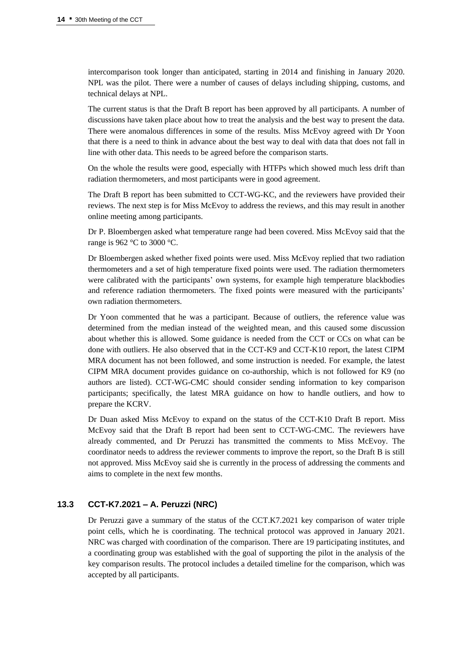intercomparison took longer than anticipated, starting in 2014 and finishing in January 2020. NPL was the pilot. There were a number of causes of delays including shipping, customs, and technical delays at NPL.

The current status is that the Draft B report has been approved by all participants. A number of discussions have taken place about how to treat the analysis and the best way to present the data. There were anomalous differences in some of the results. Miss McEvoy agreed with Dr Yoon that there is a need to think in advance about the best way to deal with data that does not fall in line with other data. This needs to be agreed before the comparison starts.

On the whole the results were good, especially with HTFPs which showed much less drift than radiation thermometers, and most participants were in good agreement.

The Draft B report has been submitted to CCT-WG-KC, and the reviewers have provided their reviews. The next step is for Miss McEvoy to address the reviews, and this may result in another online meeting among participants.

Dr P. Bloembergen asked what temperature range had been covered. Miss McEvoy said that the range is 962 °C to 3000 °C.

Dr Bloembergen asked whether fixed points were used. Miss McEvoy replied that two radiation thermometers and a set of high temperature fixed points were used. The radiation thermometers were calibrated with the participants' own systems, for example high temperature blackbodies and reference radiation thermometers. The fixed points were measured with the participants' own radiation thermometers.

Dr Yoon commented that he was a participant. Because of outliers, the reference value was determined from the median instead of the weighted mean, and this caused some discussion about whether this is allowed. Some guidance is needed from the CCT or CCs on what can be done with outliers. He also observed that in the CCT-K9 and CCT-K10 report, the latest CIPM MRA document has not been followed, and some instruction is needed. For example, the latest CIPM MRA document provides guidance on co-authorship, which is not followed for K9 (no authors are listed). CCT-WG-CMC should consider sending information to key comparison participants; specifically, the latest MRA guidance on how to handle outliers, and how to prepare the KCRV.

Dr Duan asked Miss McEvoy to expand on the status of the CCT-K10 Draft B report. Miss McEvoy said that the Draft B report had been sent to CCT-WG-CMC. The reviewers have already commented, and Dr Peruzzi has transmitted the comments to Miss McEvoy. The coordinator needs to address the reviewer comments to improve the report, so the Draft B is still not approved. Miss McEvoy said she is currently in the process of addressing the comments and aims to complete in the next few months.

## **13.3 CCT-K7.2021 – A. Peruzzi (NRC)**

Dr Peruzzi gave a summary of the status of the CCT.K7.2021 key comparison of water triple point cells, which he is coordinating. The technical protocol was approved in January 2021. NRC was charged with coordination of the comparison. There are 19 participating institutes, and a coordinating group was established with the goal of supporting the pilot in the analysis of the key comparison results. The protocol includes a detailed timeline for the comparison, which was accepted by all participants.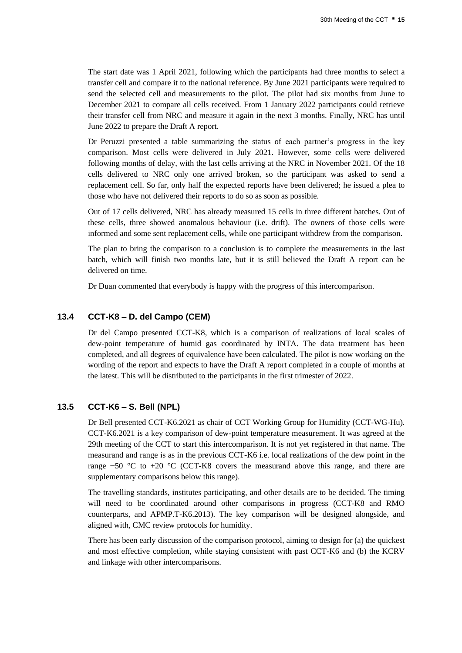The start date was 1 April 2021, following which the participants had three months to select a transfer cell and compare it to the national reference. By June 2021 participants were required to send the selected cell and measurements to the pilot. The pilot had six months from June to December 2021 to compare all cells received. From 1 January 2022 participants could retrieve their transfer cell from NRC and measure it again in the next 3 months. Finally, NRC has until June 2022 to prepare the Draft A report.

Dr Peruzzi presented a table summarizing the status of each partner's progress in the key comparison. Most cells were delivered in July 2021. However, some cells were delivered following months of delay, with the last cells arriving at the NRC in November 2021. Of the 18 cells delivered to NRC only one arrived broken, so the participant was asked to send a replacement cell. So far, only half the expected reports have been delivered; he issued a plea to those who have not delivered their reports to do so as soon as possible.

Out of 17 cells delivered, NRC has already measured 15 cells in three different batches. Out of these cells, three showed anomalous behaviour (i.e. drift). The owners of those cells were informed and some sent replacement cells, while one participant withdrew from the comparison.

The plan to bring the comparison to a conclusion is to complete the measurements in the last batch, which will finish two months late, but it is still believed the Draft A report can be delivered on time.

Dr Duan commented that everybody is happy with the progress of this intercomparison.

## **13.4 CCT-K8 – D. del Campo (CEM)**

Dr del Campo presented CCT-K8, which is a comparison of realizations of local scales of dew-point temperature of humid gas coordinated by INTA. The data treatment has been completed, and all degrees of equivalence have been calculated. The pilot is now working on the wording of the report and expects to have the Draft A report completed in a couple of months at the latest. This will be distributed to the participants in the first trimester of 2022.

## **13.5 CCT-K6 – S. Bell (NPL)**

Dr Bell presented CCT-K6.2021 as chair of CCT Working Group for Humidity (CCT-WG-Hu). CCT-K6.2021 is a key comparison of dew-point temperature measurement. It was agreed at the 29th meeting of the CCT to start this intercomparison. It is not yet registered in that name. The measurand and range is as in the previous CCT-K6 i.e. local realizations of the dew point in the range −50 °C to +20 °C (CCT-K8 covers the measurand above this range, and there are supplementary comparisons below this range).

The travelling standards, institutes participating, and other details are to be decided. The timing will need to be coordinated around other comparisons in progress (CCT-K8 and RMO counterparts, and APMP.T-K6.2013). The key comparison will be designed alongside, and aligned with, CMC review protocols for humidity.

There has been early discussion of the comparison protocol, aiming to design for (a) the quickest and most effective completion, while staying consistent with past CCT-K6 and (b) the KCRV and linkage with other intercomparisons.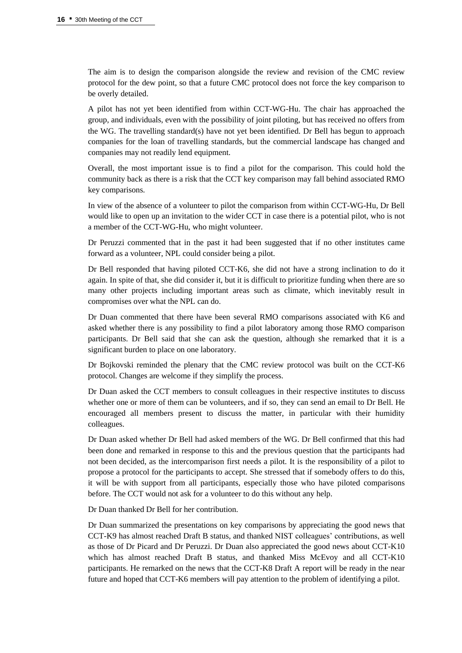The aim is to design the comparison alongside the review and revision of the CMC review protocol for the dew point, so that a future CMC protocol does not force the key comparison to be overly detailed.

A pilot has not yet been identified from within CCT-WG-Hu. The chair has approached the group, and individuals, even with the possibility of joint piloting, but has received no offers from the WG. The travelling standard(s) have not yet been identified. Dr Bell has begun to approach companies for the loan of travelling standards, but the commercial landscape has changed and companies may not readily lend equipment.

Overall, the most important issue is to find a pilot for the comparison. This could hold the community back as there is a risk that the CCT key comparison may fall behind associated RMO key comparisons.

In view of the absence of a volunteer to pilot the comparison from within CCT-WG-Hu, Dr Bell would like to open up an invitation to the wider CCT in case there is a potential pilot, who is not a member of the CCT-WG-Hu, who might volunteer.

Dr Peruzzi commented that in the past it had been suggested that if no other institutes came forward as a volunteer, NPL could consider being a pilot.

Dr Bell responded that having piloted CCT-K6, she did not have a strong inclination to do it again. In spite of that, she did consider it, but it is difficult to prioritize funding when there are so many other projects including important areas such as climate, which inevitably result in compromises over what the NPL can do.

Dr Duan commented that there have been several RMO comparisons associated with K6 and asked whether there is any possibility to find a pilot laboratory among those RMO comparison participants. Dr Bell said that she can ask the question, although she remarked that it is a significant burden to place on one laboratory.

Dr Bojkovski reminded the plenary that the CMC review protocol was built on the CCT-K6 protocol. Changes are welcome if they simplify the process.

Dr Duan asked the CCT members to consult colleagues in their respective institutes to discuss whether one or more of them can be volunteers, and if so, they can send an email to Dr Bell. He encouraged all members present to discuss the matter, in particular with their humidity colleagues.

Dr Duan asked whether Dr Bell had asked members of the WG. Dr Bell confirmed that this had been done and remarked in response to this and the previous question that the participants had not been decided, as the intercomparison first needs a pilot. It is the responsibility of a pilot to propose a protocol for the participants to accept. She stressed that if somebody offers to do this, it will be with support from all participants, especially those who have piloted comparisons before. The CCT would not ask for a volunteer to do this without any help.

Dr Duan thanked Dr Bell for her contribution.

Dr Duan summarized the presentations on key comparisons by appreciating the good news that CCT-K9 has almost reached Draft B status, and thanked NIST colleagues' contributions, as well as those of Dr Picard and Dr Peruzzi. Dr Duan also appreciated the good news about CCT-K10 which has almost reached Draft B status, and thanked Miss McEvoy and all CCT-K10 participants. He remarked on the news that the CCT-K8 Draft A report will be ready in the near future and hoped that CCT-K6 members will pay attention to the problem of identifying a pilot.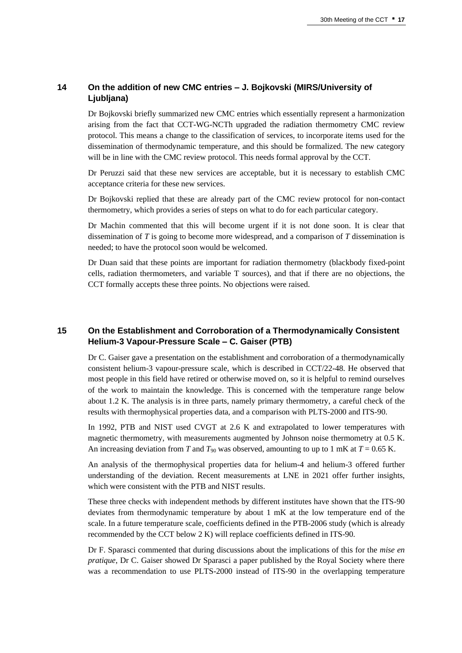## **14 On the addition of new CMC entries – J. Bojkovski (MIRS/University of Ljubljana)**

Dr Bojkovski briefly summarized new CMC entries which essentially represent a harmonization arising from the fact that CCT-WG-NCTh upgraded the radiation thermometry CMC review protocol. This means a change to the classification of services, to incorporate items used for the dissemination of thermodynamic temperature, and this should be formalized. The new category will be in line with the CMC review protocol. This needs formal approval by the CCT.

Dr Peruzzi said that these new services are acceptable, but it is necessary to establish CMC acceptance criteria for these new services.

Dr Bojkovski replied that these are already part of the CMC review protocol for non-contact thermometry, which provides a series of steps on what to do for each particular category.

Dr Machin commented that this will become urgent if it is not done soon. It is clear that dissemination of *T* is going to become more widespread, and a comparison of *T* dissemination is needed; to have the protocol soon would be welcomed.

Dr Duan said that these points are important for radiation thermometry (blackbody fixed-point cells, radiation thermometers, and variable T sources), and that if there are no objections, the CCT formally accepts these three points. No objections were raised.

# **15 On the Establishment and Corroboration of a Thermodynamically Consistent Helium-3 Vapour-Pressure Scale – C. Gaiser (PTB)**

Dr C. Gaiser gave a presentation on the establishment and corroboration of a thermodynamically consistent helium-3 vapour-pressure scale, which is described in CCT/22-48. He observed that most people in this field have retired or otherwise moved on, so it is helpful to remind ourselves of the work to maintain the knowledge. This is concerned with the temperature range below about 1.2 K. The analysis is in three parts, namely primary thermometry, a careful check of the results with thermophysical properties data, and a comparison with PLTS-2000 and ITS-90.

In 1992, PTB and NIST used CVGT at 2.6 K and extrapolated to lower temperatures with magnetic thermometry, with measurements augmented by Johnson noise thermometry at 0.5 K. An increasing deviation from *T* and  $T_{90}$  was observed, amounting to up to 1 mK at  $T = 0.65$  K.

An analysis of the thermophysical properties data for helium-4 and helium-3 offered further understanding of the deviation. Recent measurements at LNE in 2021 offer further insights, which were consistent with the PTB and NIST results.

These three checks with independent methods by different institutes have shown that the ITS-90 deviates from thermodynamic temperature by about 1 mK at the low temperature end of the scale. In a future temperature scale, coefficients defined in the PTB-2006 study (which is already recommended by the CCT below 2 K) will replace coefficients defined in ITS-90.

Dr F. Sparasci commented that during discussions about the implications of this for the *mise en pratique*, Dr C. Gaiser showed Dr Sparasci a paper published by the Royal Society where there was a recommendation to use PLTS-2000 instead of ITS-90 in the overlapping temperature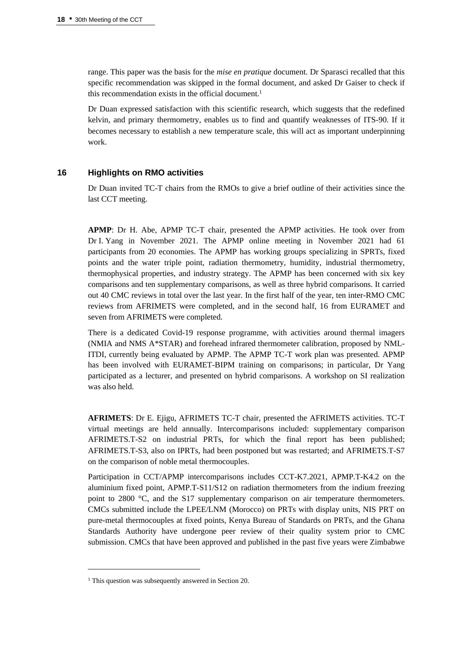range. This paper was the basis for the *mise en pratique* document. Dr Sparasci recalled that this specific recommendation was skipped in the formal document, and asked Dr Gaiser to check if this recommendation exists in the official document. 1

Dr Duan expressed satisfaction with this scientific research, which suggests that the redefined kelvin, and primary thermometry, enables us to find and quantify weaknesses of ITS-90. If it becomes necessary to establish a new temperature scale, this will act as important underpinning work.

## **16 Highlights on RMO activities**

Dr Duan invited TC-T chairs from the RMOs to give a brief outline of their activities since the last CCT meeting.

**APMP**: Dr H. Abe, APMP TC-T chair, presented the APMP activities. He took over from Dr I. Yang in November 2021. The APMP online meeting in November 2021 had 61 participants from 20 economies. The APMP has working groups specializing in SPRTs, fixed points and the water triple point, radiation thermometry, humidity, industrial thermometry, thermophysical properties, and industry strategy. The APMP has been concerned with six key comparisons and ten supplementary comparisons, as well as three hybrid comparisons. It carried out 40 CMC reviews in total over the last year. In the first half of the year, ten inter-RMO CMC reviews from AFRIMETS were completed, and in the second half, 16 from EURAMET and seven from AFRIMETS were completed.

There is a dedicated Covid-19 response programme, with activities around thermal imagers (NMIA and NMS A\*STAR) and forehead infrared thermometer calibration, proposed by NML-ITDI, currently being evaluated by APMP. The APMP TC-T work plan was presented. APMP has been involved with EURAMET-BIPM training on comparisons; in particular, Dr Yang participated as a lecturer, and presented on hybrid comparisons. A workshop on SI realization was also held.

**AFRIMETS**: Dr E. Ejigu, AFRIMETS TC-T chair, presented the AFRIMETS activities. TC-T virtual meetings are held annually. Intercomparisons included: supplementary comparison AFRIMETS.T-S2 on industrial PRTs, for which the final report has been published; AFRIMETS.T-S3, also on IPRTs, had been postponed but was restarted; and AFRIMETS.T-S7 on the comparison of noble metal thermocouples.

Participation in CCT/APMP intercomparisons includes CCT-K7.2021, APMP.T-K4.2 on the aluminium fixed point, APMP.T-S11/S12 on radiation thermometers from the indium freezing point to 2800 °C, and the S17 supplementary comparison on air temperature thermometers. CMCs submitted include the LPEE/LNM (Morocco) on PRTs with display units, NIS PRT on pure-metal thermocouples at fixed points, Kenya Bureau of Standards on PRTs, and the Ghana Standards Authority have undergone peer review of their quality system prior to CMC submission. CMCs that have been approved and published in the past five years were Zimbabwe

<sup>&</sup>lt;sup>1</sup> This question was subsequently answered in Section 20.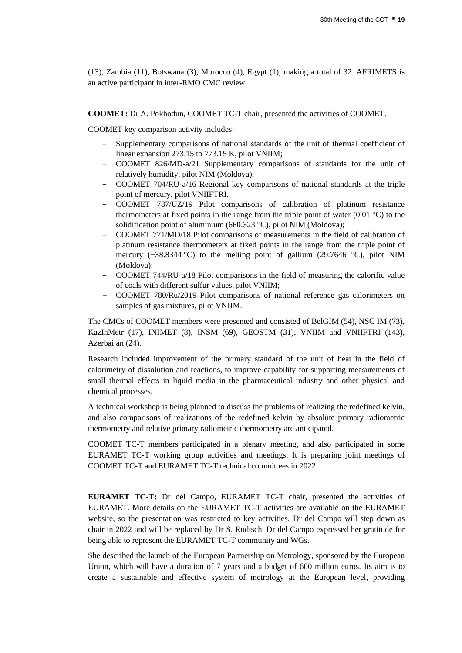(13), Zambia (11), Botswana (3), Morocco (4), Egypt (1), making a total of 32. AFRIMETS is an active participant in inter-RMO CMC review.

#### **COOMET:** Dr A. Pokhodun, COOMET TC-T chair, presented the activities of COOMET.

COOMET key comparison activity includes:

- Supplementary comparisons of national standards of the unit of thermal coefficient of linear expansion 273.15 to 773.15 K, pilot VNIIM;
- COOMET 826/MD-a/21 Supplementary comparisons of standards for the unit of relatively humidity, pilot NIM (Moldova);
- COOMET 704/RU-a/16 Regional key comparisons of national standards at the triple point of mercury, pilot VNIIFTRI.
- COOMET 787/UZ/19 Pilot comparisons of calibration of platinum resistance thermometers at fixed points in the range from the triple point of water  $(0.01 \degree C)$  to the solidification point of aluminium (660.323 °C), pilot NIM (Moldova);
- COOMET 771/MD/18 Pilot comparisons of measurements in the field of calibration of platinum resistance thermometers at fixed points in the range from the triple point of mercury (−38.8344 °C) to the melting point of gallium (29.7646 °C), pilot NIM (Moldova);
- COOMET 744/RU-a/18 Pilot comparisons in the field of measuring the calorific value of coals with different sulfur values, pilot VNIIM;
- COOMET 780/Ru/2019 Pilot comparisons of national reference gas calorimeters on samples of gas mixtures, pilot VNIIM.

The CMCs of COOMET members were presented and consisted of BelGIM (54), NSC IM (73), KazInMetr (17), INIMET (8), INSM (69), GEOSTM (31), VNIIM and VNIIFTRI (143), Azerbaijan (24).

Research included improvement of the primary standard of the unit of heat in the field of calorimetry of dissolution and reactions, to improve capability for supporting measurements of small thermal effects in liquid media in the pharmaceutical industry and other physical and chemical processes.

A technical workshop is being planned to discuss the problems of realizing the redefined kelvin, and also comparisons of realizations of the redefined kelvin by absolute primary radiometric thermometry and relative primary radiometric thermometry are anticipated.

COOMET TC-T members participated in a plenary meeting, and also participated in some EURAMET TC-T working group activities and meetings. It is preparing joint meetings of COOMET TC-T and EURAMET TC-T technical committees in 2022.

**EURAMET TC-T:** Dr del Campo, EURAMET TC-T chair, presented the activities of EURAMET. More details on the EURAMET TC-T activities are available on the EURAMET website, so the presentation was restricted to key activities. Dr del Campo will step down as chair in 2022 and will be replaced by Dr S. Rudtsch. Dr del Campo expressed her gratitude for being able to represent the EURAMET TC-T community and WGs.

She described the launch of the European Partnership on Metrology, sponsored by the European Union, which will have a duration of 7 years and a budget of 600 million euros. Its aim is to create a sustainable and effective system of metrology at the European level, providing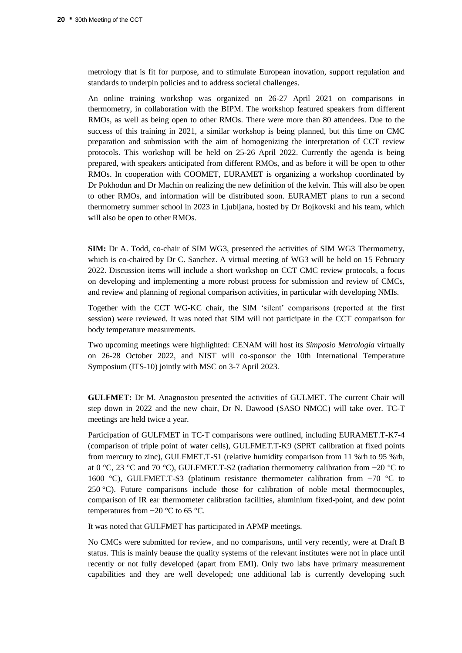metrology that is fit for purpose, and to stimulate European inovation, support regulation and standards to underpin policies and to address societal challenges.

An online training workshop was organized on 26-27 April 2021 on comparisons in thermometry, in collaboration with the BIPM. The workshop featured speakers from different RMOs, as well as being open to other RMOs. There were more than 80 attendees. Due to the success of this training in 2021, a similar workshop is being planned, but this time on CMC preparation and submission with the aim of homogenizing the interpretation of CCT review protocols. This workshop will be held on 25-26 April 2022. Currently the agenda is being prepared, with speakers anticipated from different RMOs, and as before it will be open to other RMOs. In cooperation with COOMET, EURAMET is organizing a workshop coordinated by Dr Pokhodun and Dr Machin on realizing the new definition of the kelvin. This will also be open to other RMOs, and information will be distributed soon. EURAMET plans to run a second thermometry summer school in 2023 in Ljubljana, hosted by Dr Bojkovski and his team, which will also be open to other RMOs.

**SIM:** Dr A. Todd, co-chair of SIM WG3, presented the activities of SIM WG3 Thermometry, which is co-chaired by Dr C. Sanchez. A virtual meeting of WG3 will be held on 15 February 2022. Discussion items will include a short workshop on CCT CMC review protocols, a focus on developing and implementing a more robust process for submission and review of CMCs, and review and planning of regional comparison activities, in particular with developing NMIs.

Together with the CCT WG-KC chair, the SIM 'silent' comparisons (reported at the first session) were reviewed. It was noted that SIM will not participate in the CCT comparison for body temperature measurements.

Two upcoming meetings were highlighted: CENAM will host its *Simposio Metrologia* virtually on 26-28 October 2022, and NIST will co-sponsor the 10th International Temperature Symposium (ITS-10) jointly with MSC on 3-7 April 2023.

**GULFMET:** Dr M. Anagnostou presented the activities of GULMET. The current Chair will step down in 2022 and the new chair, Dr N. Dawood (SASO NMCC) will take over. TC-T meetings are held twice a year.

Participation of GULFMET in TC-T comparisons were outlined, including EURAMET.T-K7-4 (comparison of triple point of water cells), GULFMET.T-K9 (SPRT calibration at fixed points from mercury to zinc), GULFMET.T-S1 (relative humidity comparison from 11 %rh to 95 %rh, at 0 °C, 23 °C and 70 °C), GULFMET.T-S2 (radiation thermometry calibration from −20 °C to 1600 °C), GULFMET.T-S3 (platinum resistance thermometer calibration from −70 °C to 250 °C). Future comparisons include those for calibration of noble metal thermocouples, comparison of IR ear thermometer calibration facilities, aluminium fixed-point, and dew point temperatures from −20 °C to 65 °C.

It was noted that GULFMET has participated in APMP meetings.

No CMCs were submitted for review, and no comparisons, until very recently, were at Draft B status. This is mainly beause the quality systems of the relevant institutes were not in place until recently or not fully developed (apart from EMI). Only two labs have primary measurement capabilities and they are well developed; one additional lab is currently developing such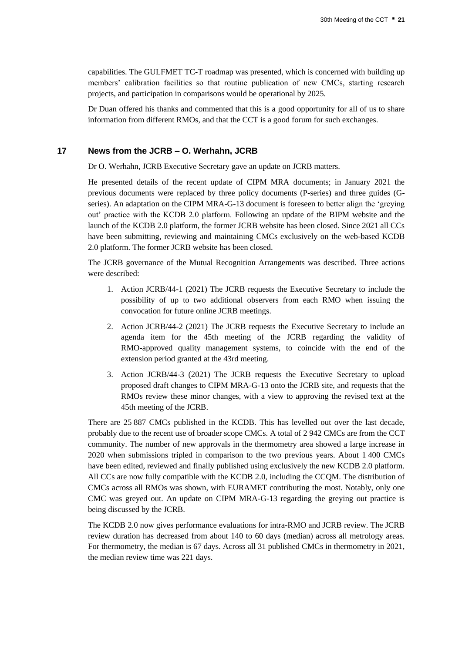capabilities. The GULFMET TC-T roadmap was presented, which is concerned with building up members' calibration facilities so that routine publication of new CMCs, starting research projects, and participation in comparisons would be operational by 2025.

Dr Duan offered his thanks and commented that this is a good opportunity for all of us to share information from different RMOs, and that the CCT is a good forum for such exchanges.

#### **17 News from the JCRB – O. Werhahn, JCRB**

Dr O. Werhahn, JCRB Executive Secretary gave an update on JCRB matters.

He presented details of the recent update of CIPM MRA documents; in January 2021 the previous documents were replaced by three policy documents (P-series) and three guides (Gseries). An adaptation on the CIPM MRA-G-13 document is foreseen to better align the 'greying out' practice with the KCDB 2.0 platform. Following an update of the BIPM website and the launch of the KCDB 2.0 platform, the former JCRB website has been closed. Since 2021 all CCs have been submitting, reviewing and maintaining CMCs exclusively on the web-based KCDB 2.0 platform. The former JCRB website has been closed.

The JCRB governance of the Mutual Recognition Arrangements was described. Three actions were described:

- 1. Action JCRB/44-1 (2021) The JCRB requests the Executive Secretary to include the possibility of up to two additional observers from each RMO when issuing the convocation for future online JCRB meetings.
- 2. Action JCRB/44-2 (2021) The JCRB requests the Executive Secretary to include an agenda item for the 45th meeting of the JCRB regarding the validity of RMO-approved quality management systems, to coincide with the end of the extension period granted at the 43rd meeting.
- 3. Action JCRB/44-3 (2021) The JCRB requests the Executive Secretary to upload proposed draft changes to CIPM MRA-G-13 onto the JCRB site, and requests that the RMOs review these minor changes, with a view to approving the revised text at the 45th meeting of the JCRB.

There are 25 887 CMCs published in the KCDB. This has levelled out over the last decade, probably due to the recent use of broader scope CMCs. A total of 2 942 CMCs are from the CCT community. The number of new approvals in the thermometry area showed a large increase in 2020 when submissions tripled in comparison to the two previous years. About 1 400 CMCs have been edited, reviewed and finally published using exclusively the new KCDB 2.0 platform. All CCs are now fully compatible with the KCDB 2.0, including the CCQM. The distribution of CMCs across all RMOs was shown, with EURAMET contributing the most. Notably, only one CMC was greyed out. An update on CIPM MRA-G-13 regarding the greying out practice is being discussed by the JCRB.

The KCDB 2.0 now gives performance evaluations for intra-RMO and JCRB review. The JCRB review duration has decreased from about 140 to 60 days (median) across all metrology areas. For thermometry, the median is 67 days. Across all 31 published CMCs in thermometry in 2021, the median review time was 221 days.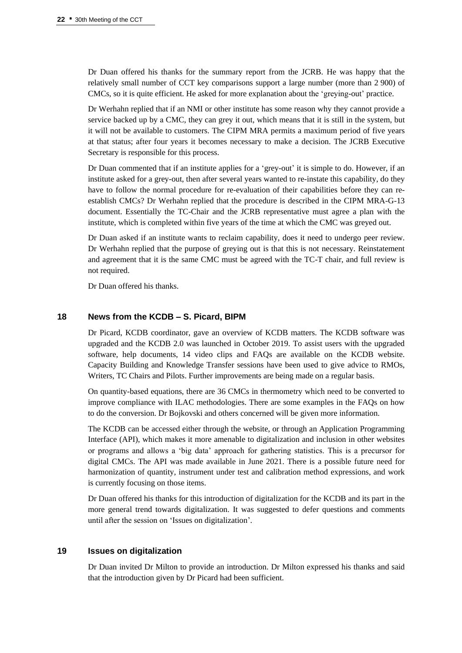Dr Duan offered his thanks for the summary report from the JCRB. He was happy that the relatively small number of CCT key comparisons support a large number (more than 2 900) of CMCs, so it is quite efficient. He asked for more explanation about the 'greying-out' practice.

Dr Werhahn replied that if an NMI or other institute has some reason why they cannot provide a service backed up by a CMC, they can grey it out, which means that it is still in the system, but it will not be available to customers. The CIPM MRA permits a maximum period of five years at that status; after four years it becomes necessary to make a decision. The JCRB Executive Secretary is responsible for this process.

Dr Duan commented that if an institute applies for a 'grey-out' it is simple to do. However, if an institute asked for a grey-out, then after several years wanted to re-instate this capability, do they have to follow the normal procedure for re-evaluation of their capabilities before they can reestablish CMCs? Dr Werhahn replied that the procedure is described in the CIPM MRA-G-13 document. Essentially the TC-Chair and the JCRB representative must agree a plan with the institute, which is completed within five years of the time at which the CMC was greyed out.

Dr Duan asked if an institute wants to reclaim capability, does it need to undergo peer review. Dr Werhahn replied that the purpose of greying out is that this is not necessary. Reinstatement and agreement that it is the same CMC must be agreed with the TC-T chair, and full review is not required.

Dr Duan offered his thanks.

#### **18 News from the KCDB – S. Picard, BIPM**

Dr Picard, KCDB coordinator, gave an overview of KCDB matters. The KCDB software was upgraded and the KCDB 2.0 was launched in October 2019. To assist users with the upgraded software, help documents, 14 video clips and FAQs are available on the KCDB website. Capacity Building and Knowledge Transfer sessions have been used to give advice to RMOs, Writers, TC Chairs and Pilots. Further improvements are being made on a regular basis.

On quantity-based equations, there are 36 CMCs in thermometry which need to be converted to improve compliance with ILAC methodologies. There are some examples in the FAQs on how to do the conversion. Dr Bojkovski and others concerned will be given more information.

The KCDB can be accessed either through the website, or through an Application Programming Interface (API), which makes it more amenable to digitalization and inclusion in other websites or programs and allows a 'big data' approach for gathering statistics. This is a precursor for digital CMCs. The API was made available in June 2021. There is a possible future need for harmonization of quantity, instrument under test and calibration method expressions, and work is currently focusing on those items.

Dr Duan offered his thanks for this introduction of digitalization for the KCDB and its part in the more general trend towards digitalization. It was suggested to defer questions and comments until after the session on 'Issues on digitalization'.

#### **19 Issues on digitalization**

Dr Duan invited Dr Milton to provide an introduction. Dr Milton expressed his thanks and said that the introduction given by Dr Picard had been sufficient.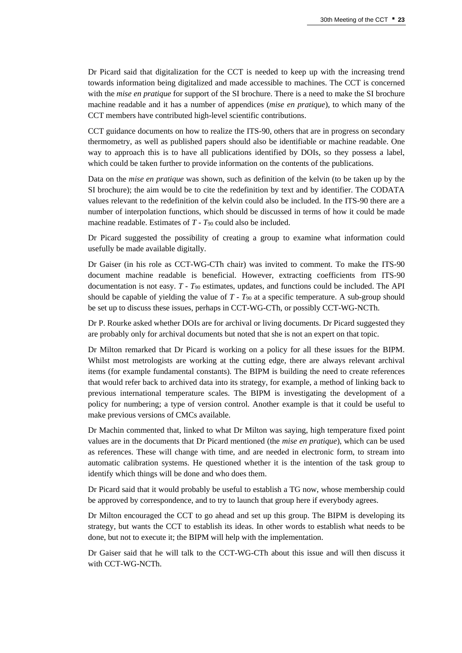Dr Picard said that digitalization for the CCT is needed to keep up with the increasing trend towards information being digitalized and made accessible to machines. The CCT is concerned with the *mise en pratique* for support of the SI brochure. There is a need to make the SI brochure machine readable and it has a number of appendices (*mise en pratique*), to which many of the CCT members have contributed high-level scientific contributions.

CCT guidance documents on how to realize the ITS-90, others that are in progress on secondary thermometry, as well as published papers should also be identifiable or machine readable. One way to approach this is to have all publications identified by DOIs, so they possess a label, which could be taken further to provide information on the contents of the publications.

Data on the *mise en pratique* was shown, such as definition of the kelvin (to be taken up by the SI brochure); the aim would be to cite the redefinition by text and by identifier. The CODATA values relevant to the redefinition of the kelvin could also be included. In the ITS-90 there are a number of interpolation functions, which should be discussed in terms of how it could be made machine readable. Estimates of *T* - *T*<sub>90</sub> could also be included.

Dr Picard suggested the possibility of creating a group to examine what information could usefully be made available digitally.

Dr Gaiser (in his role as CCT-WG-CTh chair) was invited to comment. To make the ITS-90 document machine readable is beneficial. However, extracting coefficients from ITS-90 documentation is not easy.  $T - T_{90}$  estimates, updates, and functions could be included. The API should be capable of yielding the value of  $T - T_{90}$  at a specific temperature. A sub-group should be set up to discuss these issues, perhaps in CCT-WG-CTh, or possibly CCT-WG-NCTh.

Dr P. Rourke asked whether DOIs are for archival or living documents. Dr Picard suggested they are probably only for archival documents but noted that she is not an expert on that topic.

Dr Milton remarked that Dr Picard is working on a policy for all these issues for the BIPM. Whilst most metrologists are working at the cutting edge, there are always relevant archival items (for example fundamental constants). The BIPM is building the need to create references that would refer back to archived data into its strategy, for example, a method of linking back to previous international temperature scales. The BIPM is investigating the development of a policy for numbering; a type of version control. Another example is that it could be useful to make previous versions of CMCs available.

Dr Machin commented that, linked to what Dr Milton was saying, high temperature fixed point values are in the documents that Dr Picard mentioned (the *mise en pratique*), which can be used as references. These will change with time, and are needed in electronic form, to stream into automatic calibration systems. He questioned whether it is the intention of the task group to identify which things will be done and who does them.

Dr Picard said that it would probably be useful to establish a TG now, whose membership could be approved by correspondence, and to try to launch that group here if everybody agrees.

Dr Milton encouraged the CCT to go ahead and set up this group. The BIPM is developing its strategy, but wants the CCT to establish its ideas. In other words to establish what needs to be done, but not to execute it; the BIPM will help with the implementation.

Dr Gaiser said that he will talk to the CCT-WG-CTh about this issue and will then discuss it with CCT-WG-NCTh.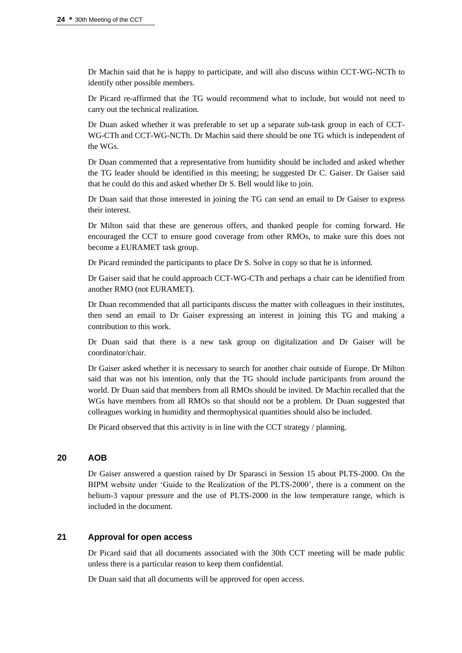Dr Machin said that he is happy to participate, and will also discuss within CCT-WG-NCTh to identify other possible members.

Dr Picard re-affirmed that the TG would recommend what to include, but would not need to carry out the technical realization.

Dr Duan asked whether it was preferable to set up a separate sub-task group in each of CCT-WG-CTh and CCT-WG-NCTh. Dr Machin said there should be one TG which is independent of the WGs.

Dr Duan commented that a representative from humidity should be included and asked whether the TG leader should be identified in this meeting; he suggested Dr C. Gaiser. Dr Gaiser said that he could do this and asked whether Dr S. Bell would like to join.

Dr Duan said that those interested in joining the TG can send an email to Dr Gaiser to express their interest.

Dr Milton said that these are generous offers, and thanked people for coming forward. He encouraged the CCT to ensure good coverage from other RMOs, to make sure this does not become a EURAMET task group.

Dr Picard reminded the participants to place Dr S. Solve in copy so that he is informed.

Dr Gaiser said that he could approach CCT-WG-CTh and perhaps a chair can be identified from another RMO (not EURAMET).

Dr Duan recommended that all participants discuss the matter with colleagues in their institutes, then send an email to Dr Gaiser expressing an interest in joining this TG and making a contribution to this work.

Dr Duan said that there is a new task group on digitalization and Dr Gaiser will be coordinator/chair.

Dr Gaiser asked whether it is necessary to search for another chair outside of Europe. Dr Milton said that was not his intention, only that the TG should include participants from around the world. Dr Duan said that members from all RMOs should be invited. Dr Machin recalled that the WGs have members from all RMOs so that should not be a problem. Dr Duan suggested that colleagues working in humidity and thermophysical quantities should also be included.

Dr Picard observed that this activity is in line with the CCT strategy / planning.

## **20 AOB**

Dr Gaiser answered a question raised by Dr Sparasci in Session 15 about PLTS-2000. On the BIPM website under 'Guide to the Realization of the PLTS-2000', there is a comment on the helium-3 vapour pressure and the use of PLTS-2000 in the low temperature range, which is included in the document.

#### **21 Approval for open access**

Dr Picard said that all documents associated with the 30th CCT meeting will be made public unless there is a particular reason to keep them confidential.

Dr Duan said that all documents will be approved for open access.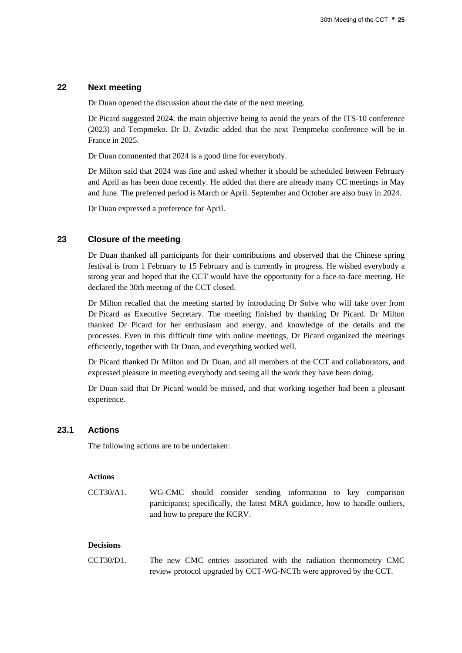## **22 Next meeting**

Dr Duan opened the discussion about the date of the next meeting.

Dr Picard suggested 2024, the main objective being to avoid the years of the ITS-10 conference (2023) and Tempmeko. Dr D. Zvizdic added that the next Tempmeko conference will be in France in 2025.

Dr Duan commented that 2024 is a good time for everybody.

Dr Milton said that 2024 was fine and asked whether it should be scheduled between February and April as has been done recently. He added that there are already many CC meetings in May and June. The preferred period is March or April. September and October are also busy in 2024.

Dr Duan expressed a preference for April.

## **23 Closure of the meeting**

Dr Duan thanked all participants for their contributions and observed that the Chinese spring festival is from 1 February to 15 February and is currently in progress. He wished everybody a strong year and hoped that the CCT would have the opportunity for a face-to-face meeting. He declared the 30th meeting of the CCT closed.

Dr Milton recalled that the meeting started by introducing Dr Solve who will take over from Dr Picard as Executive Secretary. The meeting finished by thanking Dr Picard. Dr Milton thanked Dr Picard for her enthusiasm and energy, and knowledge of the details and the processes. Even in this difficult time with online meetings, Dr Picard organized the meetings efficiently, together with Dr Duan, and everything worked well.

Dr Picard thanked Dr Milton and Dr Duan, and all members of the CCT and collaborators, and expressed pleasure in meeting everybody and seeing all the work they have been doing.

Dr Duan said that Dr Picard would be missed, and that working together had been a pleasant experience.

## **23.1 Actions**

The following actions are to be undertaken:

#### **Actions**

CCT30/A1. WG-CMC should consider sending information to key comparison participants; specifically, the latest MRA guidance, how to handle outliers, and how to prepare the KCRV.

#### **Decisions**

CCT30/D1. The new CMC entries associated with the radiation thermometry CMC review protocol upgraded by CCT-WG-NCTh were approved by the CCT.